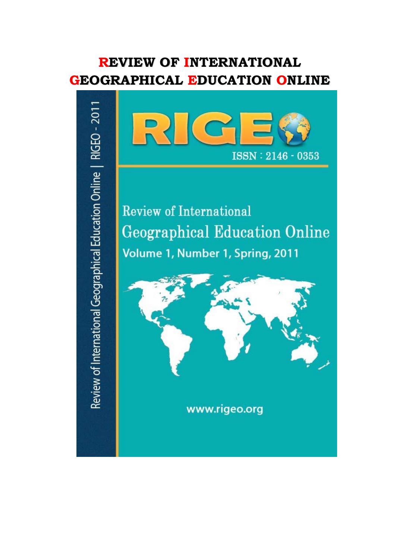# **REVIEW OF INTERNATIONAL GEOGRAPHICAL EDUCATION ONLINE**



www.rigeo.org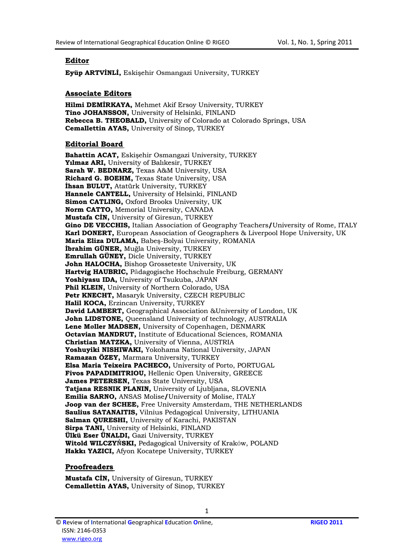## **Editor**

**Eyüp ARTVİNLİ,** Eskişehir Osmangazi University, TURKEY

## **Associate Editors**

**Hilmi DEMİRKAYA,** Mehmet Akif Ersoy University*,* TURKEY **Tino JOHANSSON,** University of Helsinki, FINLAND **Rebecca B. THEOBALD,** University of Colorado at Colorado Springs, USA **Cemallettin AYAS,** University of Sinop*,* TURKEY

## **Editorial Board**

**Bahattin ACAT,** Eskişehir Osmangazi University, TURKEY **Yılmaz ARI,** University of Balıkesir, TURKEY **Sarah W. BEDNARZ,** Texas A&M University, USA **Richard G. BOEHM,** Texas State University, USA **İhsan BULUT,** Atatürk University, TURKEY **Hannele CANTELL,** University of Helsinki, FINLAND **Simon CATLING,** Oxford Brooks University, UK **Norm CATTO,** Memorial University, CANADA **Mustafa CİN,** University of Giresun*,* TURKEY **Gino DE VECCHIS,** Italian Association of Geography Teachers**/**University of Rome, ITALY **Karl DONERT,** European Association of Geographers & Liverpool Hope University, UK **Maria Eliza DULAMA,** Babeş-Bolyai University, ROMANIA **İbrahim GÜNER,** Muğla University, TURKEY **Emrullah GÜNEY,** Dicle University, TURKEY **John HALOCHA,** Bishop Grosseteste University, UK **Hartvig HAUBRIC,** Pädagogische Hochschule Freiburg, GERMANY **Yoshiyasu IDA,** University of Tsukuba, JAPAN **Phil KLEIN,** University of Northern Colorado, USA **Petr KNECHT,** Masaryk University, CZECH REPUBLIC **Halil KOCA,** Erzincan University, TURKEY **David LAMBERT,** Geographical Association &University of London, UK **John LIDSTONE,** Queensland University of technology, AUSTRALIA **Lene Møller MADSEN,** University of Copenhagen, DENMARK **Octavian MANDRUT,** Institute of Educational Sciences, ROMANIA **Christian MATZKA,** University of Vienna, AUSTRIA **Yoshuyiki NISHIWAKI,** Yokohama National University, JAPAN **Ramazan ÖZEY,** Marmara University, TURKEY **Elsa Maria Teixeira PACHECO,** University of Porto, PORTUGAL **Fivos PAPADIMITRIOU,** Hellenic Open University, GREECE **James PETERSEN,** Texas State University, USA **Tatjana RESNIK PLANIN,** University of Ljubljana, SLOVENIA **Emilia SARNO,** ANSAS Molise**/**University of Molise, ITALY **Joop van der SCHEE,** Free University Amsterdam, THE NETHERLANDS **Saulius SATANAITIS,** Vilnius Pedagogical University, LITHUANIA **Salman QURESHI,** University of Karachi, PAKISTAN **Sirpa TANI,** University of Helsinki, FINLAND **Ülkü Eser ÜNALDI,** Gazi University, TURKEY **Witold WILCZYŃSKI,** Pedagogical University of Kraków, POLAND **Hakkı YAZICI,** Afyon Kocatepe University, TURKEY

### **Proofreaders**

**Mustafa CİN,** University of Giresun*,* TURKEY **Cemallettin AYAS,** University of Sinop*,* TURKEY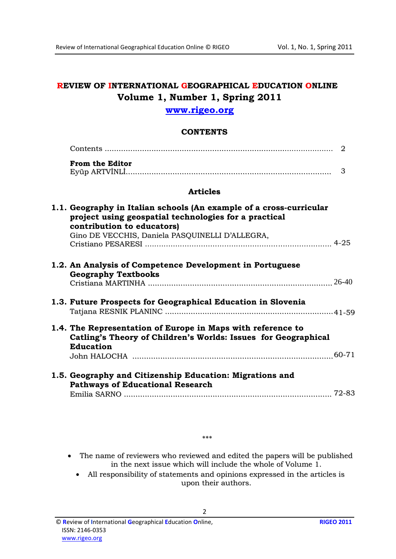## REVIEW OF INTERNATIONAL GEOGRAPHICAL EDUCATION ONLINE Volume 1, Number 1, Spring 2011

## www.rigeo.org

## **CONTENTS**

|                                                                                                                                                            | 2 |
|------------------------------------------------------------------------------------------------------------------------------------------------------------|---|
| <b>From the Editor</b>                                                                                                                                     | 3 |
| <b>Articles</b>                                                                                                                                            |   |
| 1.1. Geography in Italian schools (An example of a cross-curricular<br>project using geospatial technologies for a practical<br>contribution to educators) |   |
| Gino DE VECCHIS, Daniela PASQUINELLI D'ALLEGRA,                                                                                                            |   |
| 1.2. An Analysis of Competence Development in Portuguese<br><b>Geography Textbooks</b>                                                                     |   |
| 1.3. Future Prospects for Geographical Education in Slovenia                                                                                               |   |
| 1.4. The Representation of Europe in Maps with reference to<br>Catling's Theory of Children's Worlds: Issues for Geographical<br><b>Education</b>          |   |
| 1.5. Geography and Citizenship Education: Migrations and<br><b>Pathways of Educational Research</b>                                                        |   |
|                                                                                                                                                            |   |

• The name of reviewers who reviewed and edited the papers will be published in the next issue which will include the whole of Volume 1.

All responsibility of statements and opinions expressed in the articles is  $\bullet$ upon their authors.

 $\overline{2}$ 

 $***$